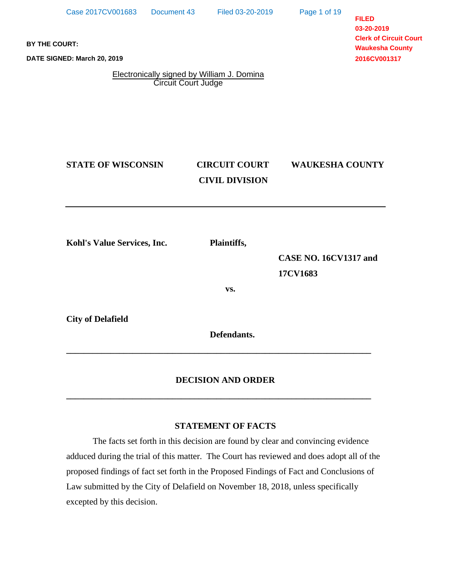Page 1 of 19

**FILED 03-20-2019 Clerk of Circuit Court Waukesha County 2016CV001317**

**BY THE COURT:**

**DATE SIGNED: March 20, 2019**

Electronically signed by William J. Domina Circuit Court Judge

# **STATE OF WISCONSIN CIRCUIT COURT WAUKESHA COUNTY**

# **CIVIL DIVISION**

**Kohl's Value Services, Inc. Plaintiffs,**

**CASE NO. 16CV1317 and 17CV1683**

**vs.**

**City of Delafield**

 **Defendants.**

# **DECISION AND ORDER**

**\_\_\_\_\_\_\_\_\_\_\_\_\_\_\_\_\_\_\_\_\_\_\_\_\_\_\_\_\_\_\_\_\_\_\_\_\_\_\_\_\_\_\_\_\_\_\_\_\_\_\_\_\_\_\_\_\_\_\_\_\_\_\_\_\_\_\_\_\_**

**\_\_\_\_\_\_\_\_\_\_\_\_\_\_\_\_\_\_\_\_\_\_\_\_\_\_\_\_\_\_\_\_\_\_\_\_\_\_\_\_\_\_\_\_\_\_\_\_\_\_\_\_\_\_\_\_\_\_\_\_\_\_\_\_\_\_\_\_\_**

# **STATEMENT OF FACTS**

The facts set forth in this decision are found by clear and convincing evidence adduced during the trial of this matter. The Court has reviewed and does adopt all of the proposed findings of fact set forth in the Proposed Findings of Fact and Conclusions of Law submitted by the City of Delafield on November 18, 2018, unless specifically excepted by this decision.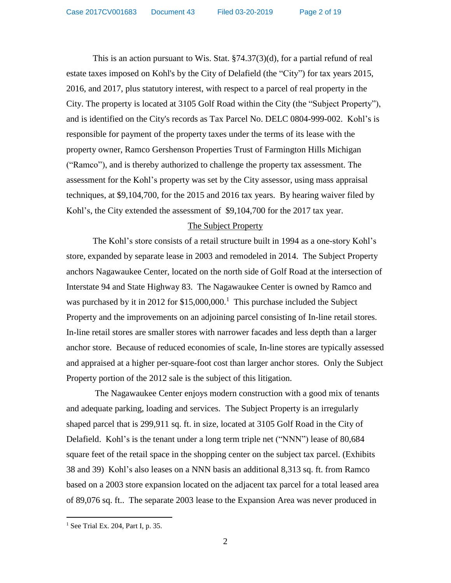This is an action pursuant to Wis. Stat. §74.37(3)(d), for a partial refund of real estate taxes imposed on Kohl's by the City of Delafield (the "City") for tax years 2015, 2016, and 2017, plus statutory interest, with respect to a parcel of real property in the City. The property is located at 3105 Golf Road within the City (the "Subject Property"), and is identified on the City's records as Tax Parcel No. DELC 0804-999-002. Kohl's is responsible for payment of the property taxes under the terms of its lease with the property owner, Ramco Gershenson Properties Trust of Farmington Hills Michigan ("Ramco"), and is thereby authorized to challenge the property tax assessment. The assessment for the Kohl's property was set by the City assessor, using mass appraisal techniques, at \$9,104,700, for the 2015 and 2016 tax years. By hearing waiver filed by Kohl's, the City extended the assessment of \$9,104,700 for the 2017 tax year.

# The Subject Property

The Kohl's store consists of a retail structure built in 1994 as a one-story Kohl's store, expanded by separate lease in 2003 and remodeled in 2014. The Subject Property anchors Nagawaukee Center, located on the north side of Golf Road at the intersection of Interstate 94 and State Highway 83. The Nagawaukee Center is owned by Ramco and was purchased by it in 2012 for  $$15,000,000$ .<sup>1</sup> This purchase included the Subject Property and the improvements on an adjoining parcel consisting of In-line retail stores. In-line retail stores are smaller stores with narrower facades and less depth than a larger anchor store. Because of reduced economies of scale, In-line stores are typically assessed and appraised at a higher per-square-foot cost than larger anchor stores. Only the Subject Property portion of the 2012 sale is the subject of this litigation.

The Nagawaukee Center enjoys modern construction with a good mix of tenants and adequate parking, loading and services. The Subject Property is an irregularly shaped parcel that is 299,911 sq. ft. in size, located at 3105 Golf Road in the City of Delafield. Kohl's is the tenant under a long term triple net ("NNN") lease of 80,684 square feet of the retail space in the shopping center on the subject tax parcel. (Exhibits 38 and 39) Kohl's also leases on a NNN basis an additional 8,313 sq. ft. from Ramco based on a 2003 store expansion located on the adjacent tax parcel for a total leased area of 89,076 sq. ft.. The separate 2003 lease to the Expansion Area was never produced in

<sup>&</sup>lt;sup>1</sup> See Trial Ex. 204, Part I, p. 35.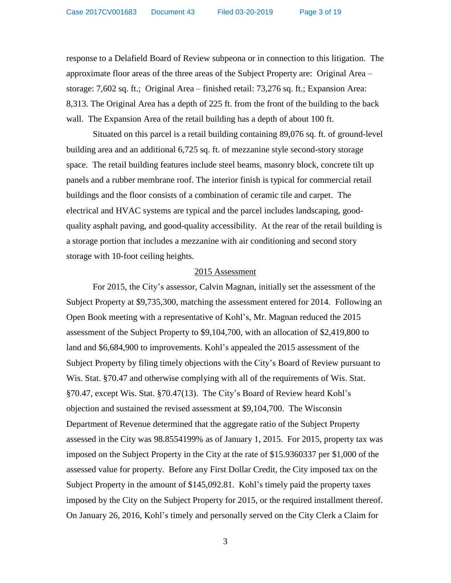response to a Delafield Board of Review subpeona or in connection to this litigation. The approximate floor areas of the three areas of the Subject Property are: Original Area – storage: 7,602 sq. ft.; Original Area – finished retail: 73,276 sq. ft.; Expansion Area: 8,313. The Original Area has a depth of 225 ft. from the front of the building to the back wall. The Expansion Area of the retail building has a depth of about 100 ft.

Situated on this parcel is a retail building containing 89,076 sq. ft. of ground-level building area and an additional 6,725 sq. ft. of mezzanine style second-story storage space. The retail building features include steel beams, masonry block, concrete tilt up panels and a rubber membrane roof. The interior finish is typical for commercial retail buildings and the floor consists of a combination of ceramic tile and carpet.The electrical and HVAC systems are typical and the parcel includes landscaping, goodquality asphalt paving, and good-quality accessibility. At the rear of the retail building is a storage portion that includes a mezzanine with air conditioning and second story storage with 10-foot ceiling heights.

#### 2015 Assessment

For 2015, the City's assessor, Calvin Magnan, initially set the assessment of the Subject Property at \$9,735,300, matching the assessment entered for 2014. Following an Open Book meeting with a representative of Kohl's, Mr. Magnan reduced the 2015 assessment of the Subject Property to \$9,104,700, with an allocation of \$2,419,800 to land and \$6,684,900 to improvements. Kohl's appealed the 2015 assessment of the Subject Property by filing timely objections with the City's Board of Review pursuant to Wis. Stat. §70.47 and otherwise complying with all of the requirements of Wis. Stat. §70.47, except Wis. Stat. §70.47(13). The City's Board of Review heard Kohl's objection and sustained the revised assessment at \$9,104,700. The Wisconsin Department of Revenue determined that the aggregate ratio of the Subject Property assessed in the City was 98.8554199% as of January 1, 2015. For 2015, property tax was imposed on the Subject Property in the City at the rate of \$15.9360337 per \$1,000 of the assessed value for property. Before any First Dollar Credit, the City imposed tax on the Subject Property in the amount of \$145,092.81. Kohl's timely paid the property taxes imposed by the City on the Subject Property for 2015, or the required installment thereof. On January 26, 2016, Kohl's timely and personally served on the City Clerk a Claim for

3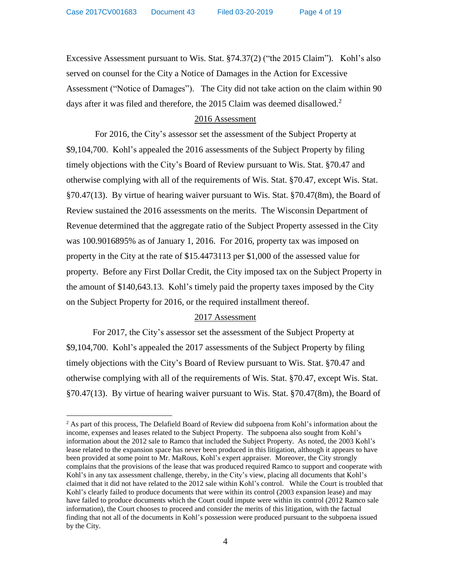$\overline{a}$ 

Excessive Assessment pursuant to Wis. Stat. §74.37(2) ("the 2015 Claim"). Kohl's also served on counsel for the City a Notice of Damages in the Action for Excessive Assessment ("Notice of Damages"). The City did not take action on the claim within 90 days after it was filed and therefore, the 2015 Claim was deemed disallowed.<sup>2</sup>

# 2016 Assessment

For 2016, the City's assessor set the assessment of the Subject Property at \$9,104,700. Kohl's appealed the 2016 assessments of the Subject Property by filing timely objections with the City's Board of Review pursuant to Wis. Stat. §70.47 and otherwise complying with all of the requirements of Wis. Stat. §70.47, except Wis. Stat. §70.47(13). By virtue of hearing waiver pursuant to Wis. Stat. §70.47(8m), the Board of Review sustained the 2016 assessments on the merits. The Wisconsin Department of Revenue determined that the aggregate ratio of the Subject Property assessed in the City was 100.9016895% as of January 1, 2016. For 2016, property tax was imposed on property in the City at the rate of \$15.4473113 per \$1,000 of the assessed value for property. Before any First Dollar Credit, the City imposed tax on the Subject Property in the amount of \$140,643.13. Kohl's timely paid the property taxes imposed by the City on the Subject Property for 2016, or the required installment thereof.

# 2017 Assessment

For 2017, the City's assessor set the assessment of the Subject Property at \$9,104,700. Kohl's appealed the 2017 assessments of the Subject Property by filing timely objections with the City's Board of Review pursuant to Wis. Stat. §70.47 and otherwise complying with all of the requirements of Wis. Stat. §70.47, except Wis. Stat. §70.47(13). By virtue of hearing waiver pursuant to Wis. Stat. §70.47(8m), the Board of

 $<sup>2</sup>$  As part of this process, The Delafield Board of Review did subpoena from Kohl's information about the</sup> income, expenses and leases related to the Subject Property. The subpoena also sought from Kohl's information about the 2012 sale to Ramco that included the Subject Property. As noted, the 2003 Kohl's lease related to the expansion space has never been produced in this litigation, although it appears to have been provided at some point to Mr. MaRous, Kohl's expert appraiser. Moreover, the City strongly complains that the provisions of the lease that was produced required Ramco to support and cooperate with Kohl's in any tax assessment challenge, thereby, in the City's view, placing all documents that Kohl's claimed that it did not have related to the 2012 sale within Kohl's control. While the Court is troubled that Kohl's clearly failed to produce documents that were within its control (2003 expansion lease) and may have failed to produce documents which the Court could impute were within its control (2012 Ramco sale information), the Court chooses to proceed and consider the merits of this litigation, with the factual finding that not all of the documents in Kohl's possession were produced pursuant to the subpoena issued by the City.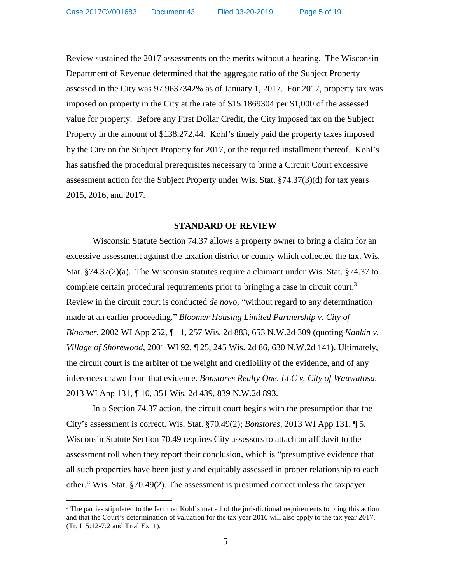Review sustained the 2017 assessments on the merits without a hearing. The Wisconsin Department of Revenue determined that the aggregate ratio of the Subject Property assessed in the City was 97.9637342% as of January 1, 2017. For 2017, property tax was imposed on property in the City at the rate of \$15.1869304 per \$1,000 of the assessed value for property. Before any First Dollar Credit, the City imposed tax on the Subject Property in the amount of \$138,272.44. Kohl's timely paid the property taxes imposed by the City on the Subject Property for 2017, or the required installment thereof. Kohl's has satisfied the procedural prerequisites necessary to bring a Circuit Court excessive assessment action for the Subject Property under Wis. Stat. §74.37(3)(d) for tax years 2015, 2016, and 2017.

#### **STANDARD OF REVIEW**

Wisconsin Statute Section 74.37 allows a property owner to bring a claim for an excessive assessment against the taxation district or county which collected the tax. Wis. Stat. §74.37(2)(a). The Wisconsin statutes require a claimant under Wis. Stat. §74.37 to complete certain procedural requirements prior to bringing a case in circuit court.<sup>3</sup> Review in the circuit court is conducted *de novo*, "without regard to any determination made at an earlier proceeding." *Bloomer Housing Limited Partnership v. City of Bloomer*, 2002 WI App 252, ¶ 11, 257 Wis. 2d 883, 653 N.W.2d 309 (quoting *Nankin v. Village of Shorewood*, 2001 WI 92, ¶ 25, 245 Wis. 2d 86, 630 N.W.2d 141). Ultimately, the circuit court is the arbiter of the weight and credibility of the evidence, and of any inferences drawn from that evidence. *Bonstores Realty One, LLC v. City of Wauwatosa*, 2013 WI App 131, ¶ 10, 351 Wis. 2d 439, 839 N.W.2d 893.

In a Section 74.37 action, the circuit court begins with the presumption that the City's assessment is correct. Wis. Stat. §70.49(2); *Bonstores*, 2013 WI App 131, ¶ 5. Wisconsin Statute Section 70.49 requires City assessors to attach an affidavit to the assessment roll when they report their conclusion, which is "presumptive evidence that all such properties have been justly and equitably assessed in proper relationship to each other." Wis. Stat. §70.49(2). The assessment is presumed correct unless the taxpayer

 $3$  The parties stipulated to the fact that Kohl's met all of the jurisdictional requirements to bring this action and that the Court's determination of valuation for the tax year 2016 will also apply to the tax year 2017. (Tr. I 5:12-7:2 and Trial Ex. 1).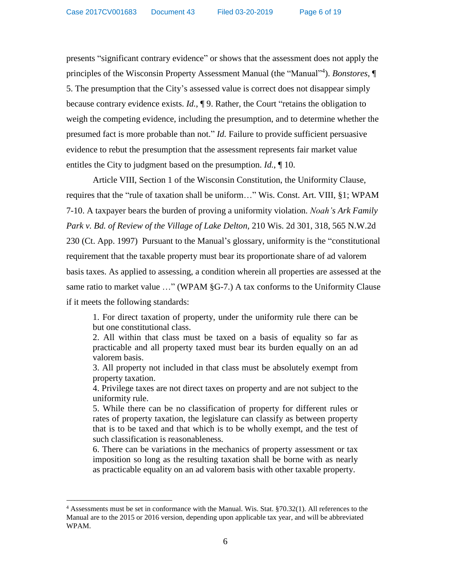presents "significant contrary evidence" or shows that the assessment does not apply the principles of the Wisconsin Property Assessment Manual (the "Manual"<sup>4</sup>). *Bonstores*, 5. The presumption that the City's assessed value is correct does not disappear simply because contrary evidence exists. *Id.*, ¶ 9. Rather, the Court "retains the obligation to weigh the competing evidence, including the presumption, and to determine whether the presumed fact is more probable than not." *Id.* Failure to provide sufficient persuasive evidence to rebut the presumption that the assessment represents fair market value entitles the City to judgment based on the presumption. *Id.*, ¶ 10.

Article VIII, Section 1 of the Wisconsin Constitution, the Uniformity Clause, requires that the "rule of taxation shall be uniform…" Wis. Const. Art. VIII, §1; WPAM 7-10. A taxpayer bears the burden of proving a uniformity violation. *Noah's Ark Family Park v. Bd. of Review of the Village of Lake Delton,* 210 Wis. 2d 301, 318, 565 N.W.2d 230 (Ct. App. 1997)Pursuant to the Manual's glossary, uniformity is the "constitutional requirement that the taxable property must bear its proportionate share of ad valorem basis taxes. As applied to assessing, a condition wherein all properties are assessed at the same ratio to market value ..." (WPAM §G-7.) A tax conforms to the Uniformity Clause if it meets the following standards:

1. For direct taxation of property, under the uniformity rule there can be but one constitutional class.

2. All within that class must be taxed on a basis of equality so far as practicable and all property taxed must bear its burden equally on an ad valorem basis.

3. All property not included in that class must be absolutely exempt from property taxation.

4. Privilege taxes are not direct taxes on property and are not subject to the uniformity rule.

5. While there can be no classification of property for different rules or rates of property taxation, the legislature can classify as between property that is to be taxed and that which is to be wholly exempt, and the test of such classification is reasonableness.

6. There can be variations in the mechanics of property assessment or tax imposition so long as the resulting taxation shall be borne with as nearly as practicable equality on an ad valorem basis with other taxable property.

<sup>4</sup> Assessments must be set in conformance with the Manual. Wis. Stat. §70.32(1). All references to the Manual are to the 2015 or 2016 version, depending upon applicable tax year, and will be abbreviated WPAM.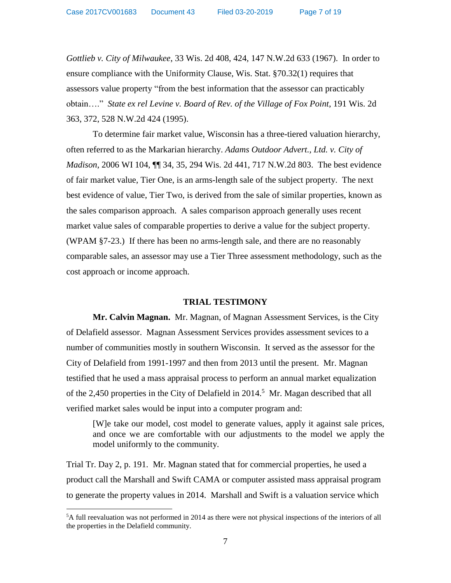Case 2017CV001683 Document 43 Filed 03-20-2019

 $\overline{a}$ 

*Gottlieb v. City of Milwaukee*, 33 Wis. 2d 408, 424, 147 N.W.2d 633 (1967).In order to ensure compliance with the Uniformity Clause, Wis. Stat. §70.32(1) requires that assessors value property "from the best information that the assessor can practicably obtain…." *State ex rel Levine v. Board of Rev. of the Village of Fox Point*, 191 Wis. 2d 363, 372, 528 N.W.2d 424 (1995).

To determine fair market value, Wisconsin has a three-tiered valuation hierarchy, often referred to as the Markarian hierarchy. *Adams Outdoor Advert., Ltd. v. City of Madison*, 2006 WI 104, **[1]** 34, 35, 294 Wis. 2d 441, 717 N.W.2d 803. The best evidence of fair market value, Tier One, is an arms-length sale of the subject property. The next best evidence of value, Tier Two, is derived from the sale of similar properties, known as the sales comparison approach. A sales comparison approach generally uses recent market value sales of comparable properties to derive a value for the subject property. (WPAM §7-23.) If there has been no arms-length sale, and there are no reasonably comparable sales, an assessor may use a Tier Three assessment methodology, such as the cost approach or income approach.

#### **TRIAL TESTIMONY**

**Mr. Calvin Magnan.** Mr. Magnan, of Magnan Assessment Services, is the City of Delafield assessor. Magnan Assessment Services provides assessment sevices to a number of communities mostly in southern Wisconsin. It served as the assessor for the City of Delafield from 1991-1997 and then from 2013 until the present. Mr. Magnan testified that he used a mass appraisal process to perform an annual market equalization of the 2,450 properties in the City of Delafield in  $2014$ <sup>5</sup> Mr. Magan described that all verified market sales would be input into a computer program and:

[W]e take our model, cost model to generate values, apply it against sale prices, and once we are comfortable with our adjustments to the model we apply the model uniformly to the community.

Trial Tr. Day 2, p. 191. Mr. Magnan stated that for commercial properties, he used a product call the Marshall and Swift CAMA or computer assisted mass appraisal program to generate the property values in 2014. Marshall and Swift is a valuation service which

<sup>5</sup>A full reevaluation was not performed in 2014 as there were not physical inspections of the interiors of all the properties in the Delafield community.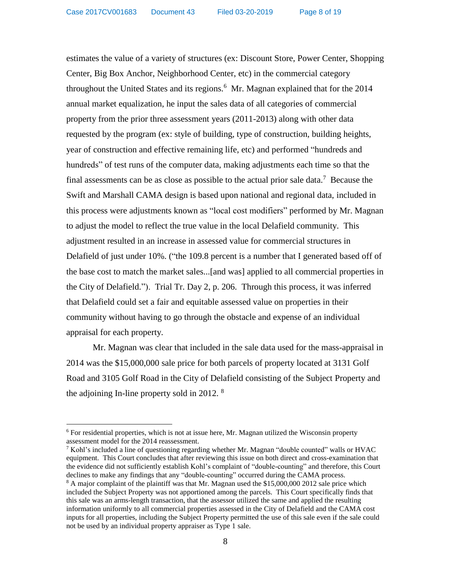estimates the value of a variety of structures (ex: Discount Store, Power Center, Shopping Center, Big Box Anchor, Neighborhood Center, etc) in the commercial category throughout the United States and its regions. $6$  Mr. Magnan explained that for the 2014 annual market equalization, he input the sales data of all categories of commercial property from the prior three assessment years (2011-2013) along with other data requested by the program (ex: style of building, type of construction, building heights, year of construction and effective remaining life, etc) and performed "hundreds and hundreds" of test runs of the computer data, making adjustments each time so that the final assessments can be as close as possible to the actual prior sale data.<sup>7</sup> Because the Swift and Marshall CAMA design is based upon national and regional data, included in this process were adjustments known as "local cost modifiers" performed by Mr. Magnan to adjust the model to reflect the true value in the local Delafield community. This adjustment resulted in an increase in assessed value for commercial structures in Delafield of just under 10%. ("the 109.8 percent is a number that I generated based off of the base cost to match the market sales...[and was] applied to all commercial properties in the City of Delafield."). Trial Tr. Day 2, p. 206. Through this process, it was inferred that Delafield could set a fair and equitable assessed value on properties in their community without having to go through the obstacle and expense of an individual appraisal for each property.

Mr. Magnan was clear that included in the sale data used for the mass-appraisal in 2014 was the \$15,000,000 sale price for both parcels of property located at 3131 Golf Road and 3105 Golf Road in the City of Delafield consisting of the Subject Property and the adjoining In-line property sold in 2012. <sup>8</sup>

 $6$  For residential properties, which is not at issue here, Mr. Magnan utilized the Wisconsin property assessment model for the 2014 reassessment.

 $7$  Kohl's included a line of questioning regarding whether Mr. Magnan "double counted" walls or HVAC equipment. This Court concludes that after reviewing this issue on both direct and cross-examination that the evidence did not sufficiently establish Kohl's complaint of "double-counting" and therefore, this Court declines to make any findings that any "double-counting" occurred during the CAMA process.

 $8$  A major complaint of the plaintiff was that Mr. Magnan used the \$15,000,000 2012 sale price which included the Subject Property was not apportioned among the parcels. This Court specifically finds that this sale was an arms-length transaction, that the assessor utilized the same and applied the resulting information uniformly to all commercial properties assessed in the City of Delafield and the CAMA cost inputs for all properties, including the Subject Property permitted the use of this sale even if the sale could not be used by an individual property appraiser as Type 1 sale.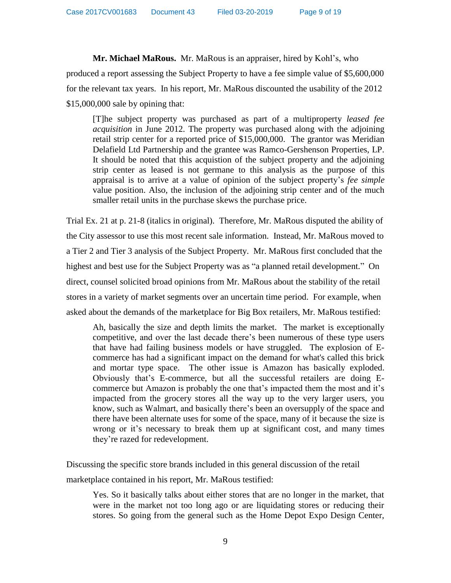**Mr. Michael MaRous.** Mr. MaRous is an appraiser, hired by Kohl's, who produced a report assessing the Subject Property to have a fee simple value of \$5,600,000 for the relevant tax years. In his report, Mr. MaRous discounted the usability of the 2012 \$15,000,000 sale by opining that:

[T]he subject property was purchased as part of a multiproperty *leased fee acquisition* in June 2012. The property was purchased along with the adjoining retail strip center for a reported price of \$15,000,000. The grantor was Meridian Delafield Ltd Partnership and the grantee was Ramco-Gershenson Properties, LP. It should be noted that this acquistion of the subject property and the adjoining strip center as leased is not germane to this analysis as the purpose of this appraisal is to arrive at a value of opinion of the subject property's *fee simple* value position. Also, the inclusion of the adjoining strip center and of the much smaller retail units in the purchase skews the purchase price.

Trial Ex. 21 at p. 21-8 (italics in original). Therefore, Mr. MaRous disputed the ability of the City assessor to use this most recent sale information. Instead, Mr. MaRous moved to a Tier 2 and Tier 3 analysis of the Subject Property. Mr. MaRous first concluded that the highest and best use for the Subject Property was as "a planned retail development." On direct, counsel solicited broad opinions from Mr. MaRous about the stability of the retail stores in a variety of market segments over an uncertain time period. For example, when asked about the demands of the marketplace for Big Box retailers, Mr. MaRous testified:

Ah, basically the size and depth limits the market. The market is exceptionally competitive, and over the last decade there's been numerous of these type users that have had failing business models or have struggled. The explosion of Ecommerce has had a significant impact on the demand for what's called this brick and mortar type space. The other issue is Amazon has basically exploded. Obviously that's E-commerce, but all the successful retailers are doing Ecommerce but Amazon is probably the one that's impacted them the most and it's impacted from the grocery stores all the way up to the very larger users, you know, such as Walmart, and basically there's been an oversupply of the space and there have been alternate uses for some of the space, many of it because the size is wrong or it's necessary to break them up at significant cost, and many times they're razed for redevelopment.

Discussing the specific store brands included in this general discussion of the retail

marketplace contained in his report, Mr. MaRous testified:

Yes. So it basically talks about either stores that are no longer in the market, that were in the market not too long ago or are liquidating stores or reducing their stores. So going from the general such as the Home Depot Expo Design Center,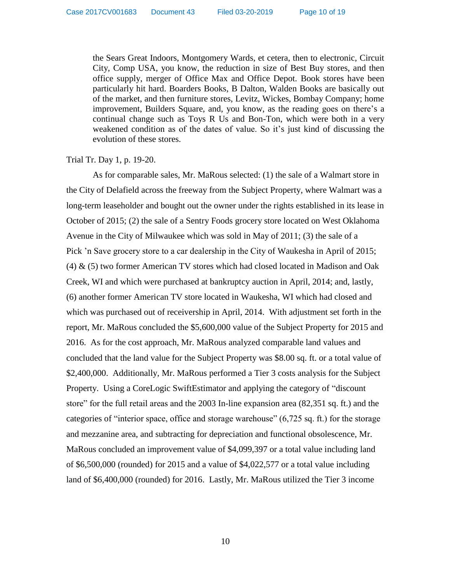the Sears Great Indoors, Montgomery Wards, et cetera, then to electronic, Circuit City, Comp USA, you know, the reduction in size of Best Buy stores, and then office supply, merger of Office Max and Office Depot. Book stores have been particularly hit hard. Boarders Books, B Dalton, Walden Books are basically out of the market, and then furniture stores, Levitz, Wickes, Bombay Company; home improvement, Builders Square, and, you know, as the reading goes on there's a continual change such as Toys R Us and Bon-Ton, which were both in a very weakened condition as of the dates of value. So it's just kind of discussing the evolution of these stores.

### Trial Tr. Day 1, p. 19-20.

As for comparable sales, Mr. MaRous selected: (1) the sale of a Walmart store in the City of Delafield across the freeway from the Subject Property, where Walmart was a long-term leaseholder and bought out the owner under the rights established in its lease in October of 2015; (2) the sale of a Sentry Foods grocery store located on West Oklahoma Avenue in the City of Milwaukee which was sold in May of 2011; (3) the sale of a Pick 'n Save grocery store to a car dealership in the City of Waukesha in April of 2015; (4) & (5) two former American TV stores which had closed located in Madison and Oak Creek, WI and which were purchased at bankruptcy auction in April, 2014; and, lastly, (6) another former American TV store located in Waukesha, WI which had closed and which was purchased out of receivership in April, 2014. With adjustment set forth in the report, Mr. MaRous concluded the \$5,600,000 value of the Subject Property for 2015 and 2016. As for the cost approach, Mr. MaRous analyzed comparable land values and concluded that the land value for the Subject Property was \$8.00 sq. ft. or a total value of \$2,400,000. Additionally, Mr. MaRous performed a Tier 3 costs analysis for the Subject Property. Using a CoreLogic SwiftEstimator and applying the category of "discount store" for the full retail areas and the 2003 In-line expansion area (82,351 sq. ft.) and the categories of "interior space, office and storage warehouse" (6,725 sq. ft.) for the storage and mezzanine area, and subtracting for depreciation and functional obsolescence, Mr. MaRous concluded an improvement value of \$4,099,397 or a total value including land of \$6,500,000 (rounded) for 2015 and a value of \$4,022,577 or a total value including land of \$6,400,000 (rounded) for 2016. Lastly, Mr. MaRous utilized the Tier 3 income

10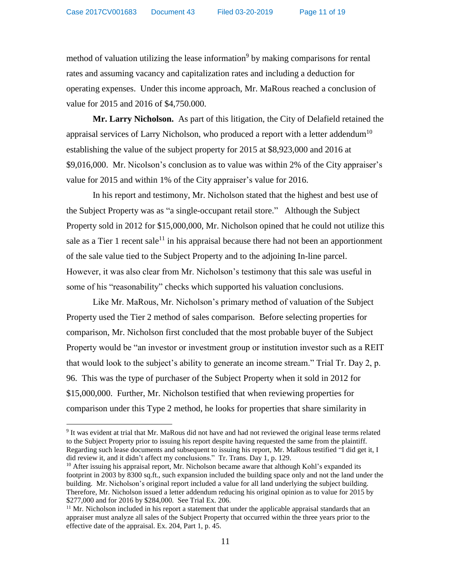method of valuation utilizing the lease information<sup>9</sup> by making comparisons for rental rates and assuming vacancy and capitalization rates and including a deduction for operating expenses. Under this income approach, Mr. MaRous reached a conclusion of value for 2015 and 2016 of \$4,750.000.

**Mr. Larry Nicholson.** As part of this litigation, the City of Delafield retained the appraisal services of Larry Nicholson, who produced a report with a letter addendum<sup>10</sup> establishing the value of the subject property for 2015 at \$8,923,000 and 2016 at \$9,016,000. Mr. Nicolson's conclusion as to value was within 2% of the City appraiser's value for 2015 and within 1% of the City appraiser's value for 2016.

In his report and testimony, Mr. Nicholson stated that the highest and best use of the Subject Property was as "a single-occupant retail store." Although the Subject Property sold in 2012 for \$15,000,000, Mr. Nicholson opined that he could not utilize this sale as a Tier 1 recent sale<sup>11</sup> in his appraisal because there had not been an apportionment of the sale value tied to the Subject Property and to the adjoining In-line parcel. However, it was also clear from Mr. Nicholson's testimony that this sale was useful in some of his "reasonability" checks which supported his valuation conclusions.

Like Mr. MaRous, Mr. Nicholson's primary method of valuation of the Subject Property used the Tier 2 method of sales comparison. Before selecting properties for comparison, Mr. Nicholson first concluded that the most probable buyer of the Subject Property would be "an investor or investment group or institution investor such as a REIT that would look to the subject's ability to generate an income stream." Trial Tr. Day 2, p. 96. This was the type of purchaser of the Subject Property when it sold in 2012 for \$15,000,000. Further, Mr. Nicholson testified that when reviewing properties for comparison under this Type 2 method, he looks for properties that share similarity in

<sup>9</sup> It was evident at trial that Mr. MaRous did not have and had not reviewed the original lease terms related to the Subject Property prior to issuing his report despite having requested the same from the plaintiff. Regarding such lease documents and subsequent to issuing his report, Mr. MaRous testified "I did get it, I did review it, and it didn't affect my conclusions." Tr. Trans. Day 1, p. 129.

<sup>&</sup>lt;sup>10</sup> After issuing his appraisal report, Mr. Nicholson became aware that although Kohl's expanded its footprint in 2003 by 8300 sq.ft., such expansion included the building space only and not the land under the building. Mr. Nicholson's original report included a value for all land underlying the subject building. Therefore, Mr. Nicholson issued a letter addendum reducing his original opinion as to value for 2015 by \$277,000 and for 2016 by \$284,000. See Trial Ex. 206.

 $11$  Mr. Nicholson included in his report a statement that under the applicable appraisal standards that an appraiser must analyze all sales of the Subject Property that occurred within the three years prior to the effective date of the appraisal. Ex. 204, Part 1, p. 45.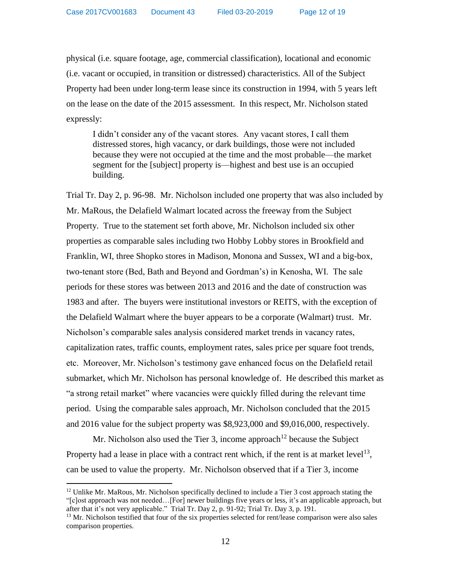physical (i.e. square footage, age, commercial classification), locational and economic (i.e. vacant or occupied, in transition or distressed) characteristics. All of the Subject Property had been under long-term lease since its construction in 1994, with 5 years left on the lease on the date of the 2015 assessment. In this respect, Mr. Nicholson stated expressly:

I didn't consider any of the vacant stores. Any vacant stores, I call them distressed stores, high vacancy, or dark buildings, those were not included because they were not occupied at the time and the most probable—the market segment for the [subject] property is—highest and best use is an occupied building.

Trial Tr. Day 2, p. 96-98. Mr. Nicholson included one property that was also included by Mr. MaRous, the Delafield Walmart located across the freeway from the Subject Property. True to the statement set forth above, Mr. Nicholson included six other properties as comparable sales including two Hobby Lobby stores in Brookfield and Franklin, WI, three Shopko stores in Madison, Monona and Sussex, WI and a big-box, two-tenant store (Bed, Bath and Beyond and Gordman's) in Kenosha, WI. The sale periods for these stores was between 2013 and 2016 and the date of construction was 1983 and after. The buyers were institutional investors or REITS, with the exception of the Delafield Walmart where the buyer appears to be a corporate (Walmart) trust. Mr. Nicholson's comparable sales analysis considered market trends in vacancy rates, capitalization rates, traffic counts, employment rates, sales price per square foot trends, etc. Moreover, Mr. Nicholson's testimony gave enhanced focus on the Delafield retail submarket, which Mr. Nicholson has personal knowledge of. He described this market as "a strong retail market" where vacancies were quickly filled during the relevant time period. Using the comparable sales approach, Mr. Nicholson concluded that the 2015 and 2016 value for the subject property was \$8,923,000 and \$9,016,000, respectively.

Mr. Nicholson also used the Tier 3, income approach<sup>12</sup> because the Subject Property had a lease in place with a contract rent which, if the rent is at market level<sup>13</sup>, can be used to value the property. Mr. Nicholson observed that if a Tier 3, income

 $12$  Unlike Mr. MaRous, Mr. Nicholson specifically declined to include a Tier 3 cost approach stating the "[c]ost approach was not needed…[For] newer buildings five years or less, it's an applicable approach, but after that it's not very applicable." Trial Tr. Day 2, p. 91-92; Trial Tr. Day 3, p. 191.

<sup>&</sup>lt;sup>13</sup> Mr. Nicholson testified that four of the six properties selected for rent/lease comparison were also sales comparison properties.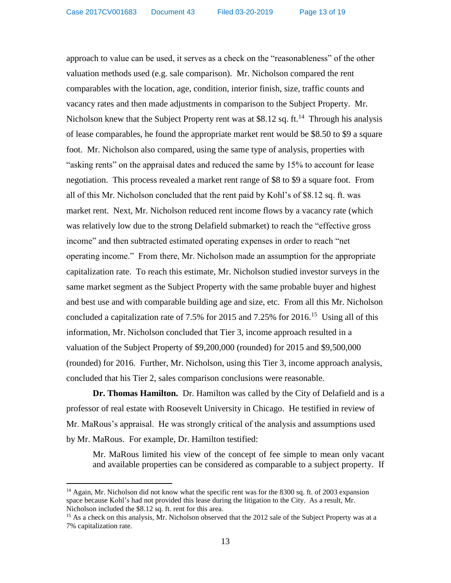approach to value can be used, it serves as a check on the "reasonableness" of the other valuation methods used (e.g. sale comparison). Mr. Nicholson compared the rent comparables with the location, age, condition, interior finish, size, traffic counts and vacancy rates and then made adjustments in comparison to the Subject Property. Mr. Nicholson knew that the Subject Property rent was at \$8.12 sq. ft.<sup>14</sup> Through his analysis of lease comparables, he found the appropriate market rent would be \$8.50 to \$9 a square foot. Mr. Nicholson also compared, using the same type of analysis, properties with "asking rents" on the appraisal dates and reduced the same by 15% to account for lease negotiation. This process revealed a market rent range of \$8 to \$9 a square foot. From all of this Mr. Nicholson concluded that the rent paid by Kohl's of \$8.12 sq. ft. was market rent. Next, Mr. Nicholson reduced rent income flows by a vacancy rate (which was relatively low due to the strong Delafield submarket) to reach the "effective gross income" and then subtracted estimated operating expenses in order to reach "net operating income." From there, Mr. Nicholson made an assumption for the appropriate capitalization rate. To reach this estimate, Mr. Nicholson studied investor surveys in the same market segment as the Subject Property with the same probable buyer and highest and best use and with comparable building age and size, etc. From all this Mr. Nicholson concluded a capitalization rate of 7.5% for 2015 and 7.25% for 2016.<sup>15</sup> Using all of this information, Mr. Nicholson concluded that Tier 3, income approach resulted in a valuation of the Subject Property of \$9,200,000 (rounded) for 2015 and \$9,500,000 (rounded) for 2016. Further, Mr. Nicholson, using this Tier 3, income approach analysis, concluded that his Tier 2, sales comparison conclusions were reasonable.

**Dr. Thomas Hamilton.** Dr. Hamilton was called by the City of Delafield and is a professor of real estate with Roosevelt University in Chicago. He testified in review of Mr. MaRous's appraisal. He was strongly critical of the analysis and assumptions used by Mr. MaRous. For example, Dr. Hamilton testified:

Mr. MaRous limited his view of the concept of fee simple to mean only vacant and available properties can be considered as comparable to a subject property. If

<sup>&</sup>lt;sup>14</sup> Again, Mr. Nicholson did not know what the specific rent was for the 8300 sq. ft. of 2003 expansion space because Kohl's had not provided this lease during the litigation to the City. As a result, Mr. Nicholson included the \$8.12 sq. ft. rent for this area.

<sup>&</sup>lt;sup>15</sup> As a check on this analysis, Mr. Nicholson observed that the 2012 sale of the Subject Property was at a 7% capitalization rate.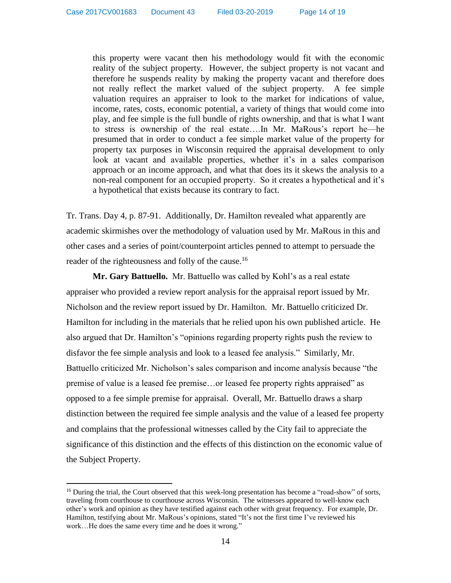this property were vacant then his methodology would fit with the economic reality of the subject property. However, the subject property is not vacant and therefore he suspends reality by making the property vacant and therefore does not really reflect the market valued of the subject property. A fee simple valuation requires an appraiser to look to the market for indications of value, income, rates, costs, economic potential, a variety of things that would come into play, and fee simple is the full bundle of rights ownership, and that is what I want to stress is ownership of the real estate….In Mr. MaRous's report he—he presumed that in order to conduct a fee simple market value of the property for property tax purposes in Wisconsin required the appraisal development to only look at vacant and available properties, whether it's in a sales comparison approach or an income approach, and what that does its it skews the analysis to a non-real component for an occupied property. So it creates a hypothetical and it's a hypothetical that exists because its contrary to fact.

Tr. Trans. Day 4, p. 87-91. Additionally, Dr. Hamilton revealed what apparently are academic skirmishes over the methodology of valuation used by Mr. MaRous in this and other cases and a series of point/counterpoint articles penned to attempt to persuade the reader of the righteousness and folly of the cause.<sup>16</sup>

**Mr. Gary Battuello.** Mr. Battuello was called by Kohl's as a real estate appraiser who provided a review report analysis for the appraisal report issued by Mr. Nicholson and the review report issued by Dr. Hamilton. Mr. Battuello criticized Dr. Hamilton for including in the materials that he relied upon his own published article. He also argued that Dr. Hamilton's "opinions regarding property rights push the review to disfavor the fee simple analysis and look to a leased fee analysis." Similarly, Mr. Battuello criticized Mr. Nicholson's sales comparison and income analysis because "the premise of value is a leased fee premise…or leased fee property rights appraised" as opposed to a fee simple premise for appraisal. Overall, Mr. Battuello draws a sharp distinction between the required fee simple analysis and the value of a leased fee property and complains that the professional witnesses called by the City fail to appreciate the significance of this distinction and the effects of this distinction on the economic value of the Subject Property.

<sup>&</sup>lt;sup>16</sup> During the trial, the Court observed that this week-long presentation has become a "road-show" of sorts, traveling from courthouse to courthouse across Wisconsin. The witnesses appeared to well-know each other's work and opinion as they have testified against each other with great frequency. For example, Dr. Hamilton, testifying about Mr. MaRous's opinions, stated "It's not the first time I've reviewed his work…He does the same every time and he does it wrong."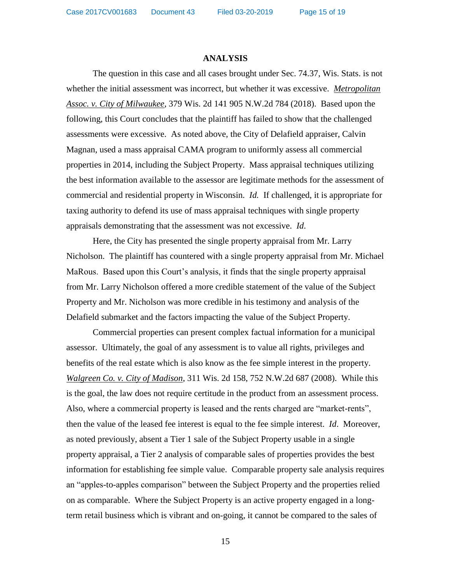Case 2017CV001683 Document 43 Filed 03-20-2019

#### **ANALYSIS**

The question in this case and all cases brought under Sec. 74.37, Wis. Stats. is not whether the initial assessment was incorrect, but whether it was excessive. *Metropolitan Assoc. v. City of Milwaukee*, 379 Wis. 2d 141 905 N.W.2d 784 (2018). Based upon the following, this Court concludes that the plaintiff has failed to show that the challenged assessments were excessive. As noted above, the City of Delafield appraiser, Calvin Magnan, used a mass appraisal CAMA program to uniformly assess all commercial properties in 2014, including the Subject Property. Mass appraisal techniques utilizing the best information available to the assessor are legitimate methods for the assessment of commercial and residential property in Wisconsin. *Id.* If challenged, it is appropriate for taxing authority to defend its use of mass appraisal techniques with single property appraisals demonstrating that the assessment was not excessive. *Id*.

Here, the City has presented the single property appraisal from Mr. Larry Nicholson. The plaintiff has countered with a single property appraisal from Mr. Michael MaRous. Based upon this Court's analysis, it finds that the single property appraisal from Mr. Larry Nicholson offered a more credible statement of the value of the Subject Property and Mr. Nicholson was more credible in his testimony and analysis of the Delafield submarket and the factors impacting the value of the Subject Property.

Commercial properties can present complex factual information for a municipal assessor. Ultimately, the goal of any assessment is to value all rights, privileges and benefits of the real estate which is also know as the fee simple interest in the property. *Walgreen Co. v. City of Madison*, 311 Wis. 2d 158, 752 N.W.2d 687 (2008). While this is the goal, the law does not require certitude in the product from an assessment process. Also, where a commercial property is leased and the rents charged are "market-rents", then the value of the leased fee interest is equal to the fee simple interest. *Id*. Moreover, as noted previously, absent a Tier 1 sale of the Subject Property usable in a single property appraisal, a Tier 2 analysis of comparable sales of properties provides the best information for establishing fee simple value. Comparable property sale analysis requires an "apples-to-apples comparison" between the Subject Property and the properties relied on as comparable. Where the Subject Property is an active property engaged in a longterm retail business which is vibrant and on-going, it cannot be compared to the sales of

15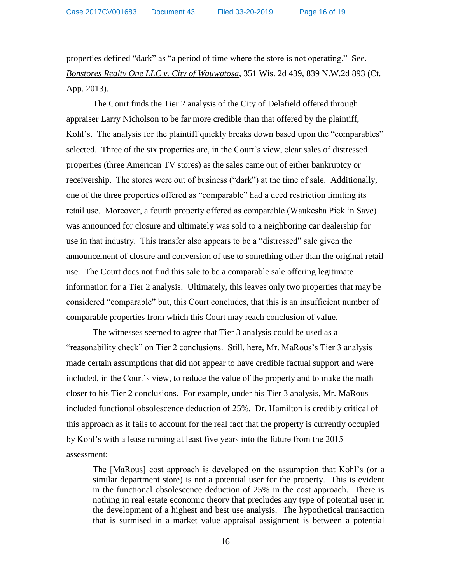properties defined "dark" as "a period of time where the store is not operating." See. *Bonstores Realty One LLC v. City of Wauwatosa*, 351 Wis. 2d 439, 839 N.W.2d 893 (Ct. App. 2013).

The Court finds the Tier 2 analysis of the City of Delafield offered through appraiser Larry Nicholson to be far more credible than that offered by the plaintiff, Kohl's. The analysis for the plaintiff quickly breaks down based upon the "comparables" selected. Three of the six properties are, in the Court's view, clear sales of distressed properties (three American TV stores) as the sales came out of either bankruptcy or receivership. The stores were out of business ("dark") at the time of sale. Additionally, one of the three properties offered as "comparable" had a deed restriction limiting its retail use. Moreover, a fourth property offered as comparable (Waukesha Pick 'n Save) was announced for closure and ultimately was sold to a neighboring car dealership for use in that industry. This transfer also appears to be a "distressed" sale given the announcement of closure and conversion of use to something other than the original retail use. The Court does not find this sale to be a comparable sale offering legitimate information for a Tier 2 analysis. Ultimately, this leaves only two properties that may be considered "comparable" but, this Court concludes, that this is an insufficient number of comparable properties from which this Court may reach conclusion of value.

The witnesses seemed to agree that Tier 3 analysis could be used as a "reasonability check" on Tier 2 conclusions. Still, here, Mr. MaRous's Tier 3 analysis made certain assumptions that did not appear to have credible factual support and were included, in the Court's view, to reduce the value of the property and to make the math closer to his Tier 2 conclusions. For example, under his Tier 3 analysis, Mr. MaRous included functional obsolescence deduction of 25%. Dr. Hamilton is credibly critical of this approach as it fails to account for the real fact that the property is currently occupied by Kohl's with a lease running at least five years into the future from the 2015 assessment:

The [MaRous] cost approach is developed on the assumption that Kohl's (or a similar department store) is not a potential user for the property. This is evident in the functional obsolescence deduction of 25% in the cost approach. There is nothing in real estate economic theory that precludes any type of potential user in the development of a highest and best use analysis. The hypothetical transaction that is surmised in a market value appraisal assignment is between a potential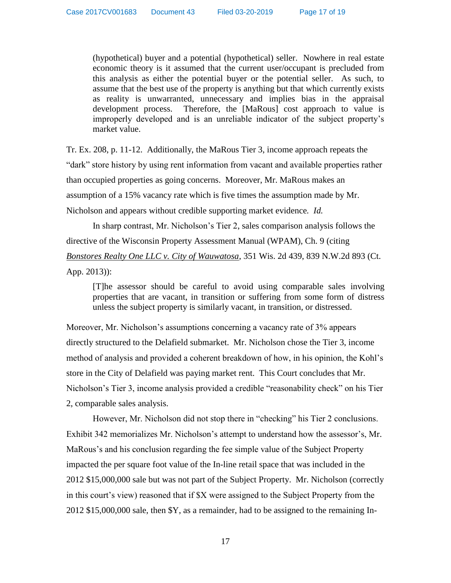(hypothetical) buyer and a potential (hypothetical) seller. Nowhere in real estate economic theory is it assumed that the current user/occupant is precluded from this analysis as either the potential buyer or the potential seller. As such, to assume that the best use of the property is anything but that which currently exists as reality is unwarranted, unnecessary and implies bias in the appraisal development process. Therefore, the [MaRous] cost approach to value is improperly developed and is an unreliable indicator of the subject property's market value.

Tr. Ex. 208, p. 11-12. Additionally, the MaRous Tier 3, income approach repeats the "dark" store history by using rent information from vacant and available properties rather than occupied properties as going concerns. Moreover, Mr. MaRous makes an assumption of a 15% vacancy rate which is five times the assumption made by Mr. Nicholson and appears without credible supporting market evidence*. Id.*

In sharp contrast, Mr. Nicholson's Tier 2, sales comparison analysis follows the directive of the Wisconsin Property Assessment Manual (WPAM), Ch. 9 (citing *Bonstores Realty One LLC v. City of Wauwatosa*, 351 Wis. 2d 439, 839 N.W.2d 893 (Ct. App. 2013)):

[T]he assessor should be careful to avoid using comparable sales involving properties that are vacant, in transition or suffering from some form of distress unless the subject property is similarly vacant, in transition, or distressed.

Moreover, Mr. Nicholson's assumptions concerning a vacancy rate of 3% appears directly structured to the Delafield submarket. Mr. Nicholson chose the Tier 3, income method of analysis and provided a coherent breakdown of how, in his opinion, the Kohl's store in the City of Delafield was paying market rent. This Court concludes that Mr. Nicholson's Tier 3, income analysis provided a credible "reasonability check" on his Tier 2, comparable sales analysis.

However, Mr. Nicholson did not stop there in "checking" his Tier 2 conclusions. Exhibit 342 memorializes Mr. Nicholson's attempt to understand how the assessor's, Mr. MaRous's and his conclusion regarding the fee simple value of the Subject Property impacted the per square foot value of the In-line retail space that was included in the 2012 \$15,000,000 sale but was not part of the Subject Property. Mr. Nicholson (correctly in this court's view) reasoned that if \$X were assigned to the Subject Property from the 2012 \$15,000,000 sale, then \$Y, as a remainder, had to be assigned to the remaining In-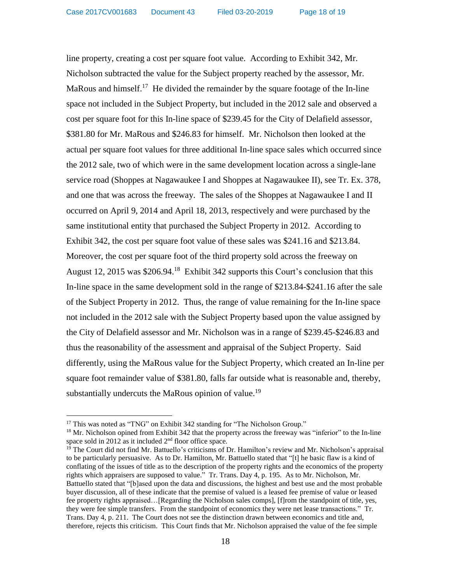line property, creating a cost per square foot value. According to Exhibit 342, Mr. Nicholson subtracted the value for the Subject property reached by the assessor, Mr. MaRous and himself.<sup>17</sup> He divided the remainder by the square footage of the In-line space not included in the Subject Property, but included in the 2012 sale and observed a cost per square foot for this In-line space of \$239.45 for the City of Delafield assessor, \$381.80 for Mr. MaRous and \$246.83 for himself. Mr. Nicholson then looked at the actual per square foot values for three additional In-line space sales which occurred since the 2012 sale, two of which were in the same development location across a single-lane service road (Shoppes at Nagawaukee I and Shoppes at Nagawaukee II), see Tr. Ex. 378, and one that was across the freeway. The sales of the Shoppes at Nagawaukee I and II occurred on April 9, 2014 and April 18, 2013, respectively and were purchased by the same institutional entity that purchased the Subject Property in 2012. According to Exhibit 342, the cost per square foot value of these sales was \$241.16 and \$213.84. Moreover, the cost per square foot of the third property sold across the freeway on August 12, 2015 was \$206.94.<sup>18</sup> Exhibit 342 supports this Court's conclusion that this In-line space in the same development sold in the range of \$213.84-\$241.16 after the sale of the Subject Property in 2012. Thus, the range of value remaining for the In-line space not included in the 2012 sale with the Subject Property based upon the value assigned by the City of Delafield assessor and Mr. Nicholson was in a range of \$239.45-\$246.83 and thus the reasonability of the assessment and appraisal of the Subject Property. Said differently, using the MaRous value for the Subject Property, which created an In-line per square foot remainder value of \$381.80, falls far outside what is reasonable and, thereby, substantially undercuts the MaRous opinion of value.<sup>19</sup>

<sup>&</sup>lt;sup>17</sup> This was noted as "TNG" on Exhibit 342 standing for "The Nicholson Group."

<sup>&</sup>lt;sup>18</sup> Mr. Nicholson opined from Exhibit 342 that the property across the freeway was "inferior" to the In-line space sold in 2012 as it included  $2<sup>nd</sup>$  floor office space.

 $19$  The Court did not find Mr. Battuello's criticisms of Dr. Hamilton's review and Mr. Nicholson's appraisal to be particularly persuasive. As to Dr. Hamilton, Mr. Battuello stated that "[t] he basic flaw is a kind of conflating of the issues of title as to the description of the property rights and the economics of the property rights which appraisers are supposed to value." Tr. Trans. Day 4, p. 195. As to Mr. Nicholson, Mr. Battuello stated that "[b]ased upon the data and discussions, the highest and best use and the most probable buyer discussion, all of these indicate that the premise of valued is a leased fee premise of value or leased fee property rights appraised…[Regarding the Nicholson sales comps], [f]rom the standpoint of title, yes, they were fee simple transfers. From the standpoint of economics they were net lease transactions." Tr. Trans. Day 4, p. 211. The Court does not see the distinction drawn between economics and title and, therefore, rejects this criticism. This Court finds that Mr. Nicholson appraised the value of the fee simple